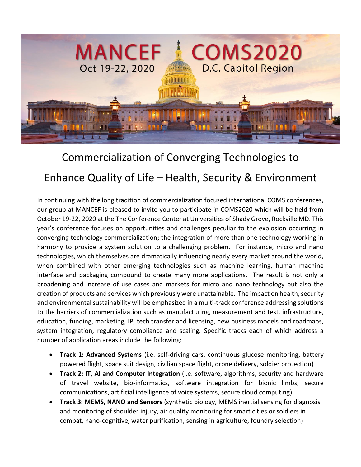

# Commercialization of Converging Technologies to Enhance Quality of Life – Health, Security & Environment

In continuing with the long tradition of commercialization focused international COMS conferences, our group at MANCEF is pleased to invite you to participate in COMS2020 which will be held from October 19-22, 2020 at the The Conference Center at Universities of Shady Grove, Rockville MD. This year's conference focuses on opportunities and challenges peculiar to the explosion occurring in converging technology commercialization; the integration of more than one technology working in harmony to provide a system solution to a challenging problem. For instance, micro and nano technologies, which themselves are dramatically influencing nearly every market around the world, when combined with other emerging technologies such as machine learning, human machine interface and packaging compound to create many more applications. The result is not only a broadening and increase of use cases and markets for micro and nano technology but also the creation of products and services which previously were unattainable. The impact on health, security and environmental sustainability will be emphasized in a multi-track conference addressing solutions to the barriers of commercialization such as manufacturing, measurement and test, infrastructure, education, funding, marketing, IP, tech transfer and licensing, new business models and roadmaps, system integration, regulatory compliance and scaling. Specific tracks each of which address a number of application areas include the following:

- **Track 1: Advanced Systems** (i.e. self-driving cars, continuous glucose monitoring, battery powered flight, space suit design, civilian space flight, drone delivery, soldier protection)
- **Track 2: IT, AI and Computer Integration** (i.e. software, algorithms, security and hardware of travel website, bio-informatics, software integration for bionic limbs, secure communications, artificial intelligence of voice systems, secure cloud computing)
- **Track 3: MEMS, NANO and Sensors** (synthetic biology, MEMS inertial sensing for diagnosis and monitoring of shoulder injury, air quality monitoring for smart cities or soldiers in combat, nano-cognitive, water purification, sensing in agriculture, foundry selection)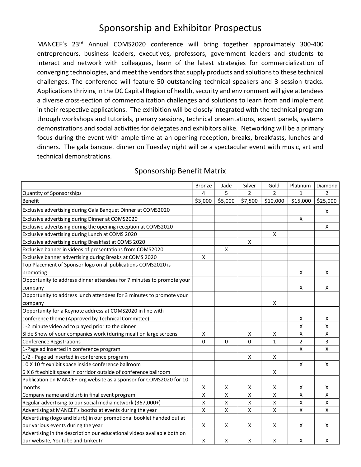## Sponsorship and Exhibitor Prospectus

MANCEF's 23rd Annual COMS2020 conference will bring together approximately 300-400 entrepreneurs, business leaders, executives, professors, government leaders and students to interact and network with colleagues, learn of the latest strategies for commercialization of converging technologies, and meet the vendors that supply products and solutions to these technical challenges. The conference will feature 50 outstanding technical speakers and 3 session tracks. Applications thriving in the DC Capital Region of health, security and environment will give attendees a diverse cross-section of commercialization challenges and solutions to learn from and implement in their respective applications. The exhibition will be closely integrated with the technical program through workshops and tutorials, plenary sessions, technical presentations, expert panels, systems demonstrations and social activities for delegates and exhibitors alike. Networking will be a primary focus during the event with ample time at an opening reception, breaks, breakfasts, lunches and dinners. The gala banquet dinner on Tuesday night will be a spectacular event with music, art and technical demonstrations.

|                                                                         | <b>Bronze</b>      | Jade               | Silver             | Gold                    | Platinum        | Diamond            |
|-------------------------------------------------------------------------|--------------------|--------------------|--------------------|-------------------------|-----------------|--------------------|
| Quantity of Sponsorships                                                | 4                  | 5                  | 2                  | 2                       | 1               | 2                  |
| Benefit                                                                 | \$3,000            | \$5,000            | \$7,500            | \$10,000                | \$15,000        | \$25,000           |
| Exclusive advertising during Gala Banquet Dinner at COMS2020            |                    |                    |                    |                         |                 | Χ                  |
| Exclusive advertising during Dinner at COMS2020                         |                    |                    |                    |                         | X               |                    |
| Exclusive advertising during the opening reception at COMS2020          |                    |                    |                    |                         |                 | $\pmb{\mathsf{X}}$ |
| Exclusive advertising during Lunch at COMS 2020                         |                    |                    |                    | X                       |                 |                    |
| Exclusive advertising during Breakfast at COMS 2020                     |                    |                    | X                  |                         |                 |                    |
| Exclusive banner in videos of presentations from COMS2020               |                    | $\pmb{\mathsf{X}}$ |                    |                         |                 |                    |
| Exclusive banner advertising during Breaks at COMS 2020                 | X                  |                    |                    |                         |                 |                    |
| Top Placement of Sponsor logo on all publications COMS2020 is           |                    |                    |                    |                         |                 |                    |
| promoting                                                               |                    |                    |                    |                         | Χ               | X                  |
| Opportunity to address dinner attendees for 7 minutes to promote your   |                    |                    |                    |                         |                 |                    |
| company                                                                 |                    |                    |                    |                         | X               | X                  |
| Opportunity to address lunch attendees for 3 minutes to promote your    |                    |                    |                    |                         |                 |                    |
| company                                                                 |                    |                    |                    | $\pmb{\mathsf{X}}$      |                 |                    |
| Opportunity for a Keynote address at COMS2020 in line with              |                    |                    |                    |                         |                 |                    |
| conference theme (Approved by Technical Committee)                      |                    |                    |                    |                         | Χ               | х                  |
| 1-2 minute video ad to played prior to the dinner                       |                    |                    |                    |                         | Χ               | Χ                  |
| Slide Show of your companies work (during meal) on large screens        | X                  |                    | X                  | X                       | $\pmb{\chi}$    | Χ                  |
| <b>Conference Registrations</b>                                         | $\Omega$           | 0                  | $\mathbf{0}$       | $\mathbf{1}$            | $\overline{2}$  | 3                  |
| 1-Page ad inserted in conference program                                |                    |                    |                    |                         | $\mathsf{\chi}$ | $\pmb{\mathsf{X}}$ |
| 1/2 - Page ad inserted in conference program                            |                    |                    | Χ                  | X                       |                 |                    |
| 10 X 10 ft exhibit space inside conference ballroom                     |                    |                    |                    |                         | X               | X                  |
| 6 X 6 ft exhibit space in corridor outside of conference ballroom       |                    |                    |                    | $\pmb{\mathsf{X}}$      |                 |                    |
| Publication on MANCEF.org website as a sponsor for COMS2020 for 10      |                    |                    |                    |                         |                 |                    |
| months                                                                  | x                  | х                  | x                  | X                       | X               | Χ                  |
| Company name and blurb in final event program                           | $\mathsf{x}$       | $\pmb{\mathsf{X}}$ | $\pmb{\times}$     | $\overline{\mathbf{x}}$ | $\mathsf{x}$    | $\pmb{\times}$     |
| Regular advertising to our social media network (367,000+)              | $\pmb{\mathsf{X}}$ | X                  | $\pmb{\mathsf{X}}$ | $\pmb{\mathsf{X}}$      | $\pmb{\chi}$    | $\pmb{\mathsf{X}}$ |
| Advertising at MANCEF's booths at events during the year                | $\pmb{\mathsf{X}}$ | $\pmb{\mathsf{X}}$ | $\pmb{\mathsf{X}}$ | $\pmb{\mathsf{X}}$      | $\pmb{\chi}$    | X                  |
| Advertising (logo and blurb) in our promotional booklet handed out at   |                    |                    |                    |                         |                 |                    |
| our various events during the year                                      | X                  | $\pmb{\mathsf{X}}$ | $\pmb{\mathsf{X}}$ | $\pmb{\mathsf{X}}$      | X               | X                  |
| Advertising in the description our educational videos available both on |                    |                    |                    |                         |                 |                    |
| our website, Youtube and LinkedIn                                       | X                  | X                  | X                  | X                       | $\times$        | X                  |

#### Sponsorship Benefit Matrix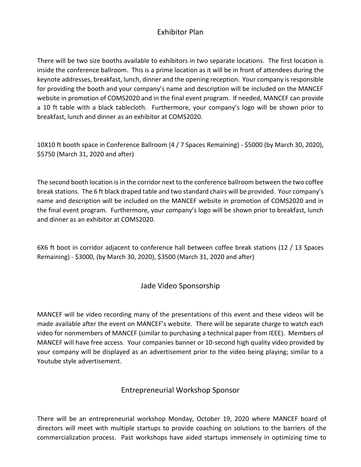### Exhibitor Plan

There will be two size booths available to exhibitors in two separate locations. The first location is inside the conference ballroom. This is a prime location as it will be in front of attendees during the keynote addresses, breakfast, lunch, dinner and the opening reception. Your company is responsible for providing the booth and your company's name and description will be included on the MANCEF website in promotion of COMS2020 and in the final event program. If needed, MANCEF can provide a 10 ft table with a black tablecloth. Furthermore, your company's logo will be shown prior to breakfast, lunch and dinner as an exhibitor at COMS2020.

10X10 ft booth space in Conference Ballroom (4 / 7 Spaces Remaining) - \$5000 (by March 30, 2020), \$5750 (March 31, 2020 and after)

The second booth location is in the corridor next to the conference ballroom between the two coffee break stations. The 6 ft black draped table and two standard chairs will be provided. Your company's name and description will be included on the MANCEF website in promotion of COMS2020 and in the final event program. Furthermore, your company's logo will be shown prior to breakfast, lunch and dinner as an exhibitor at COMS2020.

6X6 ft boot in corridor adjacent to conference hall between coffee break stations (12 / 13 Spaces Remaining) - \$3000, (by March 30, 2020), \$3500 (March 31, 2020 and after)

#### Jade Video Sponsorship

MANCEF will be video recording many of the presentations of this event and these videos will be made available after the event on MANCEF's website. There will be separate charge to watch each video for nonmembers of MANCEF (similar to purchasing a technical paper from IEEE). Members of MANCEF will have free access. Your companies banner or 10-second high quality video provided by your company will be displayed as an advertisement prior to the video being playing; similar to a Youtube style advertisement.

#### Entrepreneurial Workshop Sponsor

There will be an entrepreneurial workshop Monday, October 19, 2020 where MANCEF board of directors will meet with multiple startups to provide coaching on solutions to the barriers of the commercialization process. Past workshops have aided startups immensely in optimizing time to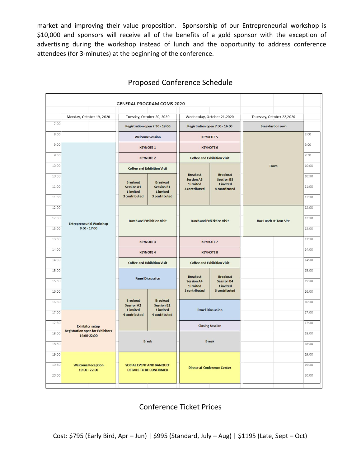market and improving their value proposition. Sponsorship of our Entrepreneurial workshop is \$10,000 and sponsors will receive all of the benefits of a gold sponsor with the exception of advertising during the workshop instead of lunch and the opportunity to address conference attendees (for 3-minutes) at the beginning of the conference.

|       |                                                        | <b>GENERAL PROGRAM COMS 2020</b>                                                                       |                                                                                                                                          |                                                                    |                                                                    |                               |       |
|-------|--------------------------------------------------------|--------------------------------------------------------------------------------------------------------|------------------------------------------------------------------------------------------------------------------------------------------|--------------------------------------------------------------------|--------------------------------------------------------------------|-------------------------------|-------|
|       | Monday, October 19, 2020                               |                                                                                                        | Tuesday, October 20, 2020                                                                                                                | Wednesday, October 21,2020                                         |                                                                    | Thursday, October 22,2020     |       |
| 7:00  |                                                        |                                                                                                        | Registration open 7:30 - 18:00                                                                                                           | Registration open 7:30 - 16:00                                     |                                                                    | <b>Breakfast on own</b>       |       |
| 8:00  |                                                        | <b>Welcome Session</b>                                                                                 |                                                                                                                                          | <b>KEYNOTE 5</b>                                                   |                                                                    |                               | 8:00  |
| 9:00  | 9:30                                                   | <b>KEYNOTE 1</b>                                                                                       |                                                                                                                                          | <b>KEYNOTE 6</b>                                                   |                                                                    |                               | 9:00  |
|       |                                                        | <b>KEYNOTE 2</b>                                                                                       |                                                                                                                                          | <b>Coffee and Exhibition Visit</b>                                 |                                                                    |                               | 9:30  |
| 10:00 |                                                        | <b>Coffee and Exhibition Visit</b>                                                                     |                                                                                                                                          |                                                                    |                                                                    | <b>Tours</b>                  | 10:00 |
| 10:30 | <b>Entrepreneurial Workshop</b><br>$9:00 - 17:00$      |                                                                                                        |                                                                                                                                          | <b>Breakout</b><br><b>Session A3</b><br>1 invited<br>4 contributed | <b>Breakout</b><br><b>Session B3</b><br>1 invited<br>4 contributed |                               | 10:30 |
| 11:00 |                                                        | <b>Breakout</b><br><b>Breakout</b><br><b>Session A1</b><br><b>Session B1</b><br>1 invited<br>1 invited |                                                                                                                                          |                                                                    |                                                                    | 11:00                         |       |
| 11:30 |                                                        | 3 contributed                                                                                          | 3 contributed                                                                                                                            |                                                                    |                                                                    |                               | 11:30 |
| 12:00 |                                                        | <b>Lunch and Exhibition Visit</b>                                                                      |                                                                                                                                          | Lunch and Exhibition Visit                                         |                                                                    |                               | 12:00 |
| 12:30 |                                                        |                                                                                                        |                                                                                                                                          |                                                                    |                                                                    | <b>Box Lunch at Tour Site</b> | 12:30 |
| 13:00 |                                                        |                                                                                                        |                                                                                                                                          |                                                                    |                                                                    |                               | 13:00 |
| 13:30 |                                                        | <b>KEYNOTE 3</b>                                                                                       |                                                                                                                                          | <b>KEYNOTE 7</b>                                                   |                                                                    |                               | 13:30 |
| 14:00 |                                                        | <b>KEYNOTE 4</b>                                                                                       |                                                                                                                                          | <b>KEYNOTE 8</b>                                                   |                                                                    |                               | 14:00 |
| 14:30 |                                                        | <b>Coffee and Exhibition Visit</b>                                                                     |                                                                                                                                          | <b>Coffee and Exhibition Visit</b>                                 |                                                                    |                               | 14:30 |
| 15:00 |                                                        | <b>Panel Discussion</b>                                                                                |                                                                                                                                          |                                                                    |                                                                    |                               | 15:00 |
| 15:30 |                                                        |                                                                                                        |                                                                                                                                          | <b>Breakout</b><br><b>Session A4</b><br>1 invited                  | <b>Breakout</b><br><b>Session B4</b><br>1 invited                  |                               | 15:30 |
| 16:00 |                                                        |                                                                                                        | <b>Breakout</b><br><b>Breakout</b><br><b>Session A2</b><br><b>Session B2</b><br>1 invited<br>1 invited<br>4 contributed<br>4 contributed | 3 contributed                                                      | 3 contributed                                                      |                               | 16:00 |
| 16:30 |                                                        |                                                                                                        |                                                                                                                                          | <b>Panel Discussion</b><br><b>Closing Session</b>                  |                                                                    |                               | 16:30 |
| 17:00 |                                                        |                                                                                                        |                                                                                                                                          |                                                                    |                                                                    |                               | 17:00 |
| 17:30 | <b>Exhibitor setup</b>                                 |                                                                                                        |                                                                                                                                          |                                                                    |                                                                    |                               | 17:30 |
| 18:00 | <b>Registration open for Exhibitors</b><br>14:00-22:00 |                                                                                                        |                                                                                                                                          |                                                                    |                                                                    |                               | 18:00 |
| 18:30 |                                                        |                                                                                                        | <b>Break</b>                                                                                                                             |                                                                    | <b>Break</b>                                                       |                               | 18:30 |
| 19:00 |                                                        |                                                                                                        |                                                                                                                                          |                                                                    |                                                                    |                               | 19:00 |
| 19:30 | <b>Welcome Reception</b>                               |                                                                                                        | <b>SOCIAL EVENT AND BANQUET</b>                                                                                                          | <b>Dinner at Conference Center</b>                                 |                                                                    |                               | 19:30 |
| 20:00 | 19:00 - 22:00<br><b>DETAILS TO BE CONFIRMED</b>        |                                                                                                        |                                                                                                                                          |                                                                    |                                                                    |                               | 20:00 |
|       |                                                        |                                                                                                        |                                                                                                                                          |                                                                    |                                                                    |                               |       |

#### Proposed Conference Schedule

#### Conference Ticket Prices